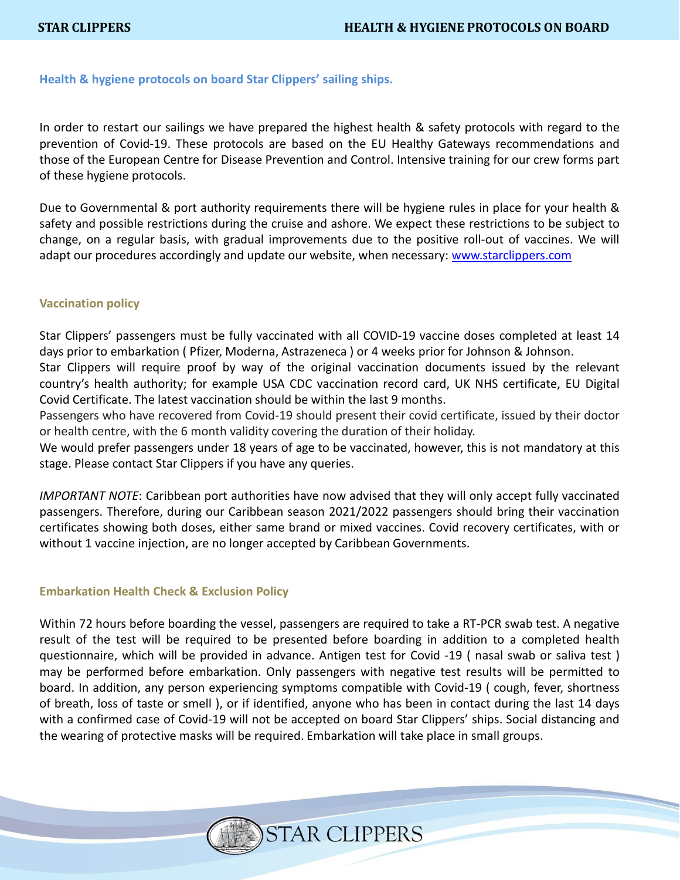# **Health & hygiene protocols on board Star Clippers' sailing ships.**

In order to restart our sailings we have prepared the highest health & safety protocols with regard to the prevention of Covid-19. These protocols are based on the EU Healthy Gateways recommendations and those of the European Centre for Disease Prevention and Control. Intensive training for our crew forms part of these hygiene protocols.

Due to Governmental & port authority requirements there will be hygiene rules in place for your health & safety and possible restrictions during the cruise and ashore. We expect these restrictions to be subject to change, on a regular basis, with gradual improvements due to the positive roll-out of vaccines. We will adapt our procedures accordingly and update our website, when necessary: [www.starclippers.com](http://www.starclippers.com/)

# **Vaccination policy**

Star Clippers' passengers must be fully vaccinated with all COVID-19 vaccine doses completed at least 14 days prior to embarkation ( Pfizer, Moderna, Astrazeneca ) or 4 weeks prior for Johnson & Johnson.

Star Clippers will require proof by way of the original vaccination documents issued by the relevant country's health authority; for example USA CDC vaccination record card, UK NHS certificate, EU Digital Covid Certificate. The latest vaccination should be within the last 9 months.

Passengers who have recovered from Covid-19 should present their covid certificate, issued by their doctor or health centre, with the 6 month validity covering the duration of their holiday.

We would prefer passengers under 18 years of age to be vaccinated, however, this is not mandatory at this stage. Please contact Star Clippers if you have any queries.

*IMPORTANT NOTE*: Caribbean port authorities have now advised that they will only accept fully vaccinated passengers. Therefore, during our Caribbean season 2021/2022 passengers should bring their vaccination certificates showing both doses, either same brand or mixed vaccines. Covid recovery certificates, with or without 1 vaccine injection, are no longer accepted by Caribbean Governments.

## **Embarkation Health Check & Exclusion Policy**

Within 72 hours before boarding the vessel, passengers are required to take a RT-PCR swab test. A negative result of the test will be required to be presented before boarding in addition to a completed health questionnaire, which will be provided in advance. Antigen test for Covid -19 ( nasal swab or saliva test ) may be performed before embarkation. Only passengers with negative test results will be permitted to board. In addition, any person experiencing symptoms compatible with Covid-19 ( cough, fever, shortness of breath, loss of taste or smell ), or if identified, anyone who has been in contact during the last 14 days with a confirmed case of Covid-19 will not be accepted on board Star Clippers' ships. Social distancing and the wearing of protective masks will be required. Embarkation will take place in small groups.

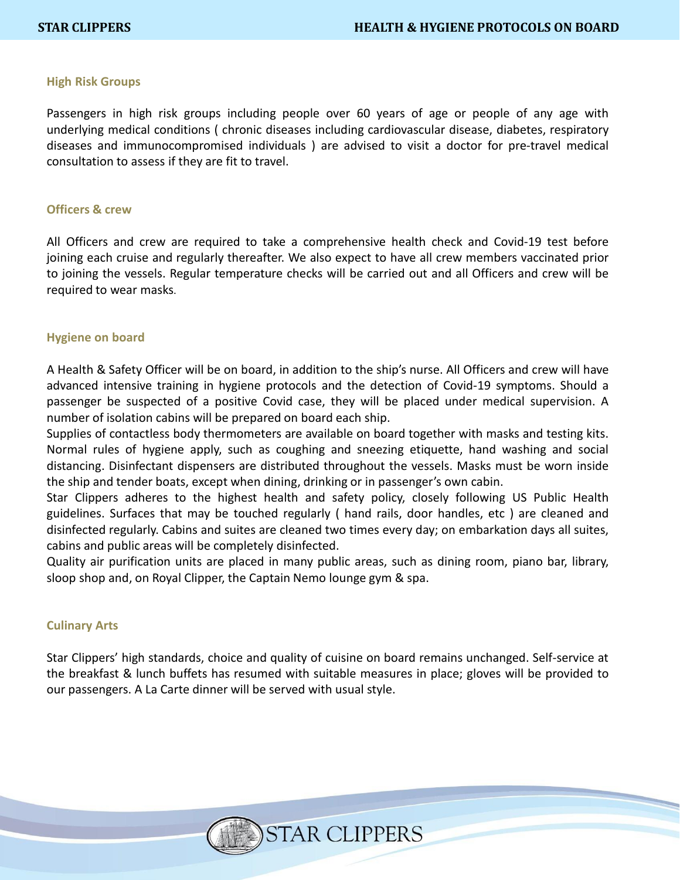## **High Risk Groups**

Passengers in high risk groups including people over 60 years of age or people of any age with underlying medical conditions ( chronic diseases including cardiovascular disease, diabetes, respiratory diseases and immunocompromised individuals ) are advised to visit a doctor for pre-travel medical consultation to assess if they are fit to travel.

#### **Officers & crew**

All Officers and crew are required to take a comprehensive health check and Covid-19 test before joining each cruise and regularly thereafter. We also expect to have all crew members vaccinated prior to joining the vessels. Regular temperature checks will be carried out and all Officers and crew will be required to wear masks.

#### **Hygiene on board**

A Health & Safety Officer will be on board, in addition to the ship's nurse. All Officers and crew will have advanced intensive training in hygiene protocols and the detection of Covid-19 symptoms. Should a passenger be suspected of a positive Covid case, they will be placed under medical supervision. A number of isolation cabins will be prepared on board each ship.

Supplies of contactless body thermometers are available on board together with masks and testing kits. Normal rules of hygiene apply, such as coughing and sneezing etiquette, hand washing and social distancing. Disinfectant dispensers are distributed throughout the vessels. Masks must be worn inside the ship and tender boats, except when dining, drinking or in passenger's own cabin.

Star Clippers adheres to the highest health and safety policy, closely following US Public Health guidelines. Surfaces that may be touched regularly ( hand rails, door handles, etc ) are cleaned and disinfected regularly. Cabins and suites are cleaned two times every day; on embarkation days all suites, cabins and public areas will be completely disinfected.

Quality air purification units are placed in many public areas, such as dining room, piano bar, library, sloop shop and, on Royal Clipper, the Captain Nemo lounge gym & spa.

## **Culinary Arts**

Star Clippers' high standards, choice and quality of cuisine on board remains unchanged. Self-service at the breakfast & lunch buffets has resumed with suitable measures in place; gloves will be provided to our passengers. A La Carte dinner will be served with usual style.